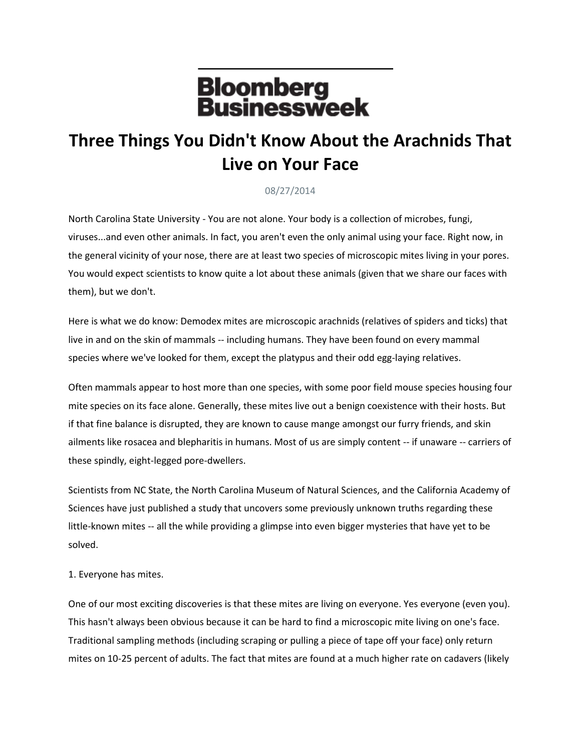## **Bloomberg<br>Businessweek**

## **Three Things You Didn't Know About the Arachnids That Live on Your Face**

## 08/27/2014

North Carolina State University - You are not alone. Your body is a collection of microbes, fungi, viruses...and even other animals. In fact, you aren't even the only animal using your face. Right now, in the general vicinity of your nose, there are at least two species of microscopic mites living in your pores. You would expect scientists to know quite a lot about these animals (given that we share our faces with them), but we don't.

Here is what we do know: Demodex mites are microscopic arachnids (relatives of spiders and ticks) that live in and on the skin of mammals -- including humans. They have been found on every mammal species where we've looked for them, except the platypus and their odd egg-laying relatives.

Often mammals appear to host more than one species, with some poor field mouse species housing four mite species on its face alone. Generally, these mites live out a benign coexistence with their hosts. But if that fine balance is disrupted, they are known to cause mange amongst our furry friends, and skin ailments like rosacea and blepharitis in humans. Most of us are simply content -- if unaware -- carriers of these spindly, eight-legged pore-dwellers.

Scientists from NC State, the North Carolina Museum of Natural Sciences, and the California Academy of Sciences have just published a study that uncovers some previously unknown truths regarding these little-known mites -- all the while providing a glimpse into even bigger mysteries that have yet to be solved.

## 1. Everyone has mites.

One of our most exciting discoveries is that these mites are living on everyone. Yes everyone (even you). This hasn't always been obvious because it can be hard to find a microscopic mite living on one's face. Traditional sampling methods (including scraping or pulling a piece of tape off your face) only return mites on 10-25 percent of adults. The fact that mites are found at a much higher rate on cadavers (likely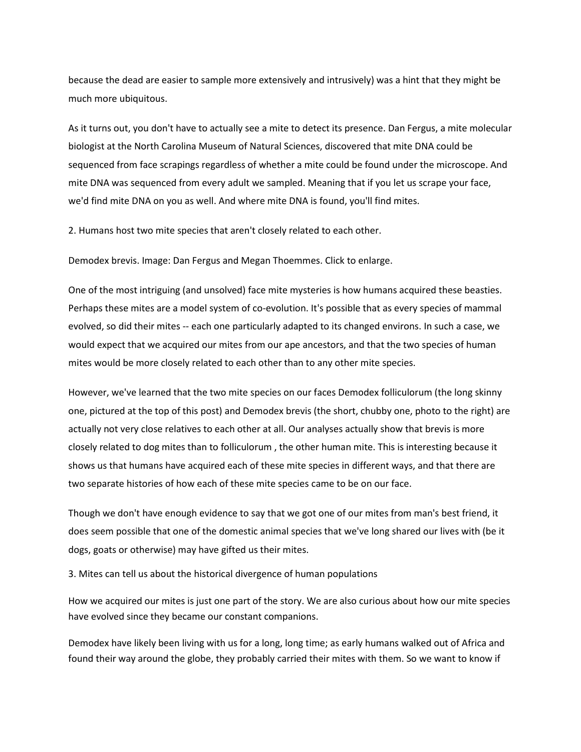because the dead are easier to sample more extensively and intrusively) was a hint that they might be much more ubiquitous.

As it turns out, you don't have to actually see a mite to detect its presence. Dan Fergus, a mite molecular biologist at the North Carolina Museum of Natural Sciences, discovered that mite DNA could be sequenced from face scrapings regardless of whether a mite could be found under the microscope. And mite DNA was sequenced from every adult we sampled. Meaning that if you let us scrape your face, we'd find mite DNA on you as well. And where mite DNA is found, you'll find mites.

2. Humans host two mite species that aren't closely related to each other.

Demodex brevis. Image: Dan Fergus and Megan Thoemmes. Click to enlarge.

One of the most intriguing (and unsolved) face mite mysteries is how humans acquired these beasties. Perhaps these mites are a model system of co-evolution. It's possible that as every species of mammal evolved, so did their mites -- each one particularly adapted to its changed environs. In such a case, we would expect that we acquired our mites from our ape ancestors, and that the two species of human mites would be more closely related to each other than to any other mite species.

However, we've learned that the two mite species on our faces Demodex folliculorum (the long skinny one, pictured at the top of this post) and Demodex brevis (the short, chubby one, photo to the right) are actually not very close relatives to each other at all. Our analyses actually show that brevis is more closely related to dog mites than to folliculorum , the other human mite. This is interesting because it shows us that humans have acquired each of these mite species in different ways, and that there are two separate histories of how each of these mite species came to be on our face.

Though we don't have enough evidence to say that we got one of our mites from man's best friend, it does seem possible that one of the domestic animal species that we've long shared our lives with (be it dogs, goats or otherwise) may have gifted us their mites.

3. Mites can tell us about the historical divergence of human populations

How we acquired our mites is just one part of the story. We are also curious about how our mite species have evolved since they became our constant companions.

Demodex have likely been living with us for a long, long time; as early humans walked out of Africa and found their way around the globe, they probably carried their mites with them. So we want to know if